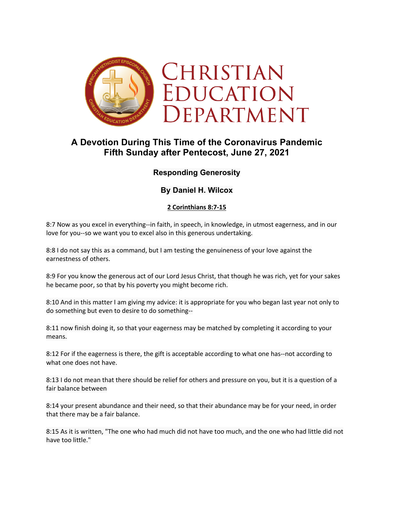

# **A Devotion During This Time of the Coronavirus Pandemic Fifth Sunday after Pentecost, June 27, 2021**

## **Responding Generosity**

## **By Daniel H. Wilcox**

### **2 Corinthians 8:7-15**

8:7 Now as you excel in everything--in faith, in speech, in knowledge, in utmost eagerness, and in our love for you--so we want you to excel also in this generous undertaking.

8:8 I do not say this as a command, but I am testing the genuineness of your love against the earnestness of others.

8:9 For you know the generous act of our Lord Jesus Christ, that though he was rich, yet for your sakes he became poor, so that by his poverty you might become rich.

8:10 And in this matter I am giving my advice: it is appropriate for you who began last year not only to do something but even to desire to do something--

8:11 now finish doing it, so that your eagerness may be matched by completing it according to your means.

8:12 For if the eagerness is there, the gift is acceptable according to what one has--not according to what one does not have.

8:13 I do not mean that there should be relief for others and pressure on you, but it is a question of a fair balance between

8:14 your present abundance and their need, so that their abundance may be for your need, in order that there may be a fair balance.

8:15 As it is written, "The one who had much did not have too much, and the one who had little did not have too little."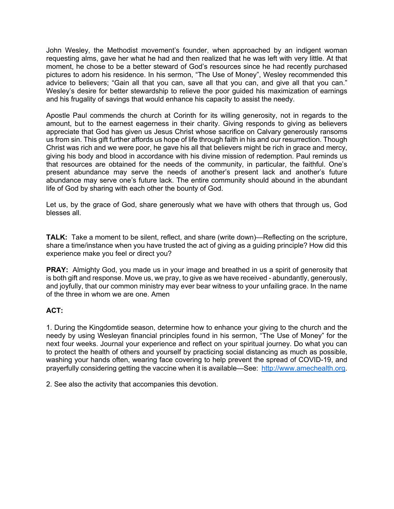John Wesley, the Methodist movement's founder, when approached by an indigent woman requesting alms, gave her what he had and then realized that he was left with very little. At that moment, he chose to be a better steward of God's resources since he had recently purchased pictures to adorn his residence. In his sermon, "The Use of Money", Wesley recommended this advice to believers; "Gain all that you can, save all that you can, and give all that you can." Wesley's desire for better stewardship to relieve the poor guided his maximization of earnings and his frugality of savings that would enhance his capacity to assist the needy.

Apostle Paul commends the church at Corinth for its willing generosity, not in regards to the amount, but to the earnest eagerness in their charity. Giving responds to giving as believers appreciate that God has given us Jesus Christ whose sacrifice on Calvary generously ransoms us from sin. This gift further affords us hope of life through faith in his and our resurrection. Though Christ was rich and we were poor, he gave his all that believers might be rich in grace and mercy, giving his body and blood in accordance with his divine mission of redemption. Paul reminds us that resources are obtained for the needs of the community, in particular, the faithful. One's present abundance may serve the needs of another's present lack and another's future abundance may serve one's future lack. The entire community should abound in the abundant life of God by sharing with each other the bounty of God.

Let us, by the grace of God, share generously what we have with others that through us, God blesses all.

**TALK:** Take a moment to be silent, reflect, and share (write down)—Reflecting on the scripture, share a time/instance when you have trusted the act of giving as a guiding principle? How did this experience make you feel or direct you?

**PRAY:** Almighty God, you made us in your image and breathed in us a spirit of generosity that is both gift and response. Move us, we pray, to give as we have received - abundantly, generously, and joyfully, that our common ministry may ever bear witness to your unfailing grace. In the name of the three in whom we are one. Amen

### **ACT:**

1. During the Kingdomtide season, determine how to enhance your giving to the church and the needy by using Wesleyan financial principles found in his sermon, "The Use of Money" for the next four weeks. Journal your experience and reflect on your spiritual journey. Do what you can to protect the health of others and yourself by practicing social distancing as much as possible, washing your hands often, wearing face covering to help prevent the spread of COVID-19, and prayerfully considering getting the vaccine when it is available—See: http://www.amechealth.org.

2. See also the activity that accompanies this devotion.